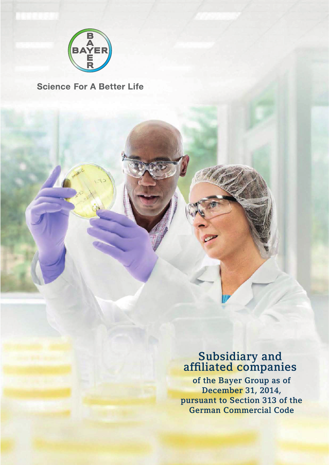

## **Science For A Better Life**

## Subsidiary and affiliated companies

of the Bayer Group as of December 31, 2014, pursuant to Section 313 of the German Commercial Code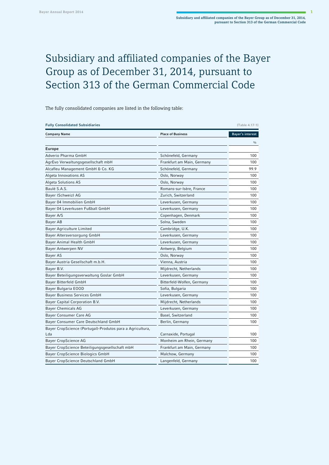## Subsidiary and affiliated companies of the Bayer Group as of December 31, 2014, pursuant to Section 313 of the German Commercial Code

The fully consolidated companies are listed in the following table:

| <b>Fully Consolidated Subsidiaries</b>                           |                            | [Table 4.17-1]   |
|------------------------------------------------------------------|----------------------------|------------------|
| <b>Company Name</b>                                              | <b>Place of Business</b>   | Bayer's interest |
| <b>Europe</b>                                                    |                            | $\frac{0}{0}$    |
| Adverio Pharma GmbH                                              | Schönefeld, Germany        | 100              |
| AgrEvo Verwaltungsgesellschaft mbH                               | Frankfurt am Main, Germany | 100              |
| Alcafleu Management GmbH & Co. KG                                | Schönefeld, Germany        | 99.9             |
| Algeta Innovations AS                                            | Oslo, Norway               | 100              |
| <b>Algeta Solutions AS</b>                                       | Oslo, Norway               | 100              |
| Baulé S.A.S.                                                     | Romans-sur-Isère, France   | 100              |
| Bayer (Schweiz) AG                                               | Zurich, Switzerland        | 100              |
| Bayer 04 Immobilien GmbH                                         | Leverkusen, Germany        | 100              |
| Bayer 04 Leverkusen Fußball GmbH                                 | Leverkusen, Germany        | 100              |
| Bayer A/S                                                        | Copenhagen, Denmark        | 100              |
| Bayer AB                                                         | Solna, Sweden              | 100              |
| Bayer Agriculture Limited                                        | Cambridge, U.K.            | 100              |
| Bayer Altersversorgung GmbH                                      | Leverkusen, Germany        | 100              |
| Bayer Animal Health GmbH                                         | Leverkusen, Germany        | 100              |
| Bayer Antwerpen NV                                               | Antwerp, Belgium           | 100              |
| Bayer AS                                                         | Oslo, Norway               | 100              |
| Bayer Austria Gesellschaft m.b.H.                                | Vienna, Austria            | 100              |
| Bayer B.V.                                                       | Mijdrecht, Netherlands     | 100              |
| Bayer Beteiligungsverwaltung Goslar GmbH                         | Leverkusen, Germany        | 100              |
| Bayer Bitterfeld GmbH                                            | Bitterfeld-Wolfen, Germany | 100              |
| Bayer Bulgaria EOOD                                              | Sofia, Bulgaria            | 100              |
| Bayer Business Services GmbH                                     | Leverkusen, Germany        | 100              |
| Bayer Capital Corporation B.V.                                   | Mijdrecht, Netherlands     | 100              |
| Bayer Chemicals AG                                               | Leverkusen, Germany        | 100              |
| Bayer Consumer Care AG                                           | Basel, Switzerland         | 100              |
| Bayer Consumer Care Deutschland GmbH                             | Berlin, Germany            | 100              |
| Bayer CropScience (Portugal)-Produtos para a Agricultura,<br>Lda | Carnaxide, Portugal        | 100              |
| Bayer CropScience AG                                             | Monheim am Rhein, Germany  | 100              |
| Bayer CropScience Beteiligungsgesellschaft mbH                   | Frankfurt am Main, Germany | 100              |
| Bayer CropScience Biologics GmbH                                 | Malchow, Germany           | 100              |
| Bayer CropScience Deutschland GmbH                               | Langenfeld, Germany        | 100              |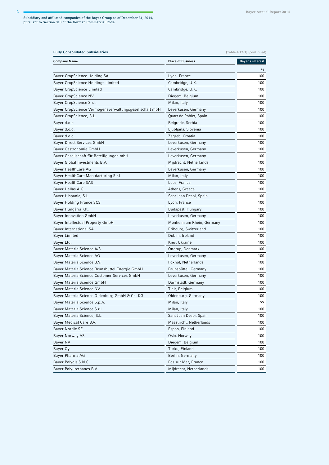| <b>Fully Consolidated Subsidiaries</b><br>[Table 4.17-1] (continued) |                           |                  |
|----------------------------------------------------------------------|---------------------------|------------------|
| <b>Company Name</b>                                                  | <b>Place of Business</b>  | Bayer's interest |
|                                                                      |                           | $\frac{0}{0}$    |
| Bayer CropScience Holding SA                                         | Lyon, France              | 100              |
| Bayer CropScience Holdings Limited                                   | Cambridge, U.K.           | 100              |
| Bayer CropScience Limited                                            | Cambridge, U.K.           | 100              |
| Bayer CropScience NV                                                 | Diegem, Belgium           | 100              |
| Bayer CropScience S.r.l.                                             | Milan, Italy              | 100              |
| Bayer CropScience Vermögensverwaltungsgesellschaft mbH               | Leverkusen, Germany       | 100              |
| Bayer CropScience, S.L.                                              | Quart de Poblet, Spain    | 100              |
| Bayer d.o.o.                                                         | Belgrade, Serbia          | 100              |
| Bayer d.o.o.                                                         | Ljubljana, Slovenia       | 100              |
| Bayer d.o.o.                                                         | Zagreb, Croatia           | 100              |
| Bayer Direct Services GmbH                                           | Leverkusen, Germany       | 100              |
| Bayer Gastronomie GmbH                                               | Leverkusen, Germany       | 100              |
| Bayer Gesellschaft für Beteiligungen mbH                             | Leverkusen, Germany       | 100              |
| Bayer Global Investments B.V.                                        | Mijdrecht, Netherlands    | 100              |
| <b>Bayer HealthCare AG</b>                                           | Leverkusen, Germany       | 100              |
| Bayer HealthCare Manufacturing S.r.l.                                | Milan, Italy              | 100              |
| <b>Bayer HealthCare SAS</b>                                          | Loos, France              | 100              |
| Bayer Hellas A.G.                                                    | Athens, Greece            | 100              |
| Bayer Hispania, S.L.                                                 | Sant Joan Despi, Spain    | 100              |
| Bayer Holding France SCS                                             | Lyon, France              | 100              |
| Bayer Hungária Kft.                                                  | Budapest, Hungary         | 100              |
| <b>Bayer Innovation GmbH</b>                                         | Leverkusen, Germany       | 100              |
| Bayer Intellectual Property GmbH                                     | Monheim am Rhein, Germany | 100              |
| Bayer International SA                                               | Fribourg, Switzerland     | 100              |
| <b>Bayer Limited</b>                                                 | Dublin, Ireland           | 100              |
| Bayer Ltd.                                                           | Kiev, Ukraine             | 100              |
| Bayer MaterialScience A/S                                            | Otterup, Denmark          | 100              |
| Bayer MaterialScience AG                                             | Leverkusen, Germany       | 100              |
| Bayer MaterialScience B.V.                                           | Foxhol, Netherlands       | 100              |
| Bayer MaterialScience Brunsbüttel Energie GmbH                       | Brunsbüttel, Germany      | 100              |
| Bayer MaterialScience Customer Services GmbH                         | Leverkusen, Germany       | 100              |
| Bayer MaterialScience GmbH                                           | Darmstadt, Germany        | 100              |
| Bayer MaterialScience NV                                             | Tielt, Belgium            | 100              |
| Bayer MaterialScience Oldenburg GmbH & Co. KG                        | Oldenburg, Germany        | 100              |
| Bayer MaterialScience S.p.A.                                         | Milan, Italy              | 99               |
| Bayer MaterialScience S.r.l.                                         | Milan, Italy              | 100              |
| Bayer MaterialScience, S.L.                                          | Sant Joan Despi, Spain    | 100              |
| Bayer Medical Care B.V.                                              | Maastricht, Netherlands   | 100              |
| Bayer Nordic SE                                                      | Espoo, Finland            | 100              |
| Bayer Norway AS                                                      | Oslo, Norway              | 100              |
| Bayer NV                                                             | Diegem, Belgium           | 100              |
| Bayer Oy                                                             | Turku, Finland            | 100              |
| Bayer Pharma AG                                                      | Berlin, Germany           | 100              |
| Bayer Polyols S.N.C.                                                 | Fos sur Mer, France       | 100              |
| Bayer Polyurethanes B.V.                                             | Mijdrecht, Netherlands    | 100              |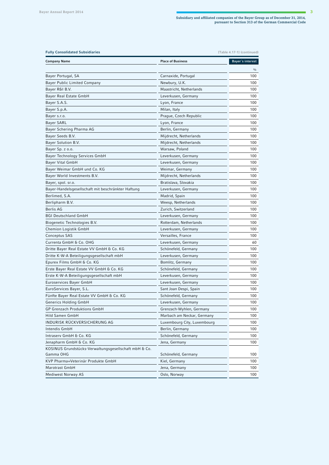| <b>Fully Consolidated Subsidiaries</b><br>[Table 4.17-1] (continued) |                             |                  |
|----------------------------------------------------------------------|-----------------------------|------------------|
| <b>Company Name</b>                                                  | <b>Place of Business</b>    | Bayer's interest |
|                                                                      |                             | $\frac{0}{0}$    |
| Bayer Portugal, SA                                                   | Carnaxide, Portugal         | 100              |
| Bayer Public Limited Company                                         | Newbury, U.K.               | 100              |
| Bayer R&I B.V.                                                       | Maastricht, Netherlands     | 100              |
| Bayer Real Estate GmbH                                               | Leverkusen, Germany         | 100              |
| Bayer S.A.S.                                                         | Lyon, France                | 100              |
| Bayer S.p.A.                                                         | Milan, Italy                | 100              |
| Bayer s.r.o.                                                         | Prague, Czech Republic      | 100              |
| <b>Bayer SARL</b>                                                    | Lyon, France                | 100              |
| Bayer Schering Pharma AG                                             | Berlin, Germany             | 100              |
| Bayer Seeds B.V.                                                     | Mijdrecht, Netherlands      | 100              |
| Bayer Solution B.V.                                                  | Mijdrecht, Netherlands      | 100              |
| Bayer Sp. z o.o.                                                     | Warsaw, Poland              | 100              |
| Bayer Technology Services GmbH                                       | Leverkusen, Germany         | 100              |
| Bayer Vital GmbH                                                     | Leverkusen, Germany         | 100              |
| Bayer Weimar GmbH und Co. KG                                         | Weimar, Germany             | 100              |
| Bayer World Investments B.V.                                         | Mijdrecht, Netherlands      | 100              |
| Bayer, spol. sr.o.                                                   | Bratislava, Slovakia        | 100              |
| Bayer-Handelsgesellschaft mit beschränkter Haftung                   | Leverkusen, Germany         | 100              |
| Berlimed, S.A.                                                       | Madrid, Spain               | 100              |
| Berlipharm B.V.                                                      | Weesp, Netherlands          | 100              |
| Berlis AG                                                            | Zurich, Switzerland         | 100              |
| <b>BGI Deutschland GmbH</b>                                          | Leverkusen, Germany         | 100              |
| Biogenetic Technologies B.V.                                         | Rotterdam, Netherlands      | 100              |
| Chemion Logistik GmbH                                                | Leverkusen, Germany         | 100              |
| Conceptus SAS                                                        | Versailles, France          | 100              |
| Currenta GmbH & Co. OHG                                              | Leverkusen, Germany         | 60               |
| Dritte Bayer Real Estate VV GmbH & Co. KG                            | Schönefeld, Germany         | 100              |
| Dritte K-W-A Beteiligungsgesellschaft mbH                            | Leverkusen, Germany         | 100              |
| Epurex Films GmbH & Co. KG                                           | Bomlitz, Germany            | 100              |
| Erste Bayer Real Estate VV GmbH & Co. KG                             | Schönefeld, Germany         | 100              |
| Erste K-W-A Beteiligungsgesellschaft mbH                             | Leverkusen, Germany         | 100              |
| Euroservices Bayer GmbH                                              | Leverkusen, Germany         | 100              |
| EuroServices Bayer, S.L.                                             | Sant Joan Despi, Spain      | 100              |
| Fünfte Bayer Real Estate VV GmbH & Co. KG                            | Schönefeld, Germany         | 100              |
| Generics Holding GmbH                                                | Leverkusen, Germany         | 100              |
| GP Grenzach Produktions GmbH                                         | Grenzach-Wyhlen, Germany    | 100              |
| Hild Samen GmbH                                                      | Marbach am Neckar, Germany  | 100              |
| INDURISK RÜCKVERSICHERUNG AG                                         | Luxembourg City, Luxembourg | 100              |
| Intendis GmbH                                                        | Berlin, Germany             | 100              |
|                                                                      |                             |                  |
| Intraserv GmbH & Co. KG                                              | Schönefeld, Germany         | 100              |
| Jenapharm GmbH & Co. KG                                              | Jena, Germany               | 100              |
| KOSINUS Grundstücks-Verwaltungsgesellschaft mbH & Co.<br>Gamma OHG   | Schönefeld, Germany         | 100              |
| KVP Pharma+Veterinär Produkte GmbH                                   | Kiel, Germany               | 100              |
| Marotrast GmbH                                                       |                             |                  |
|                                                                      | Jena, Germany               | 100              |
| <b>Mediwest Norway AS</b>                                            | Oslo, Norway                | 100              |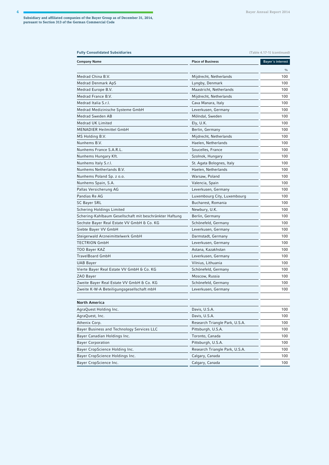| <b>Fully Consolidated Subsidiaries</b>                  |                                | [Table 4.17-1] (continued) |
|---------------------------------------------------------|--------------------------------|----------------------------|
| Company Name                                            | <b>Place of Business</b>       | Bayer's interest           |
|                                                         |                                | $\frac{0}{0}$              |
| Medrad China B.V.                                       | Mijdrecht, Netherlands         | 100                        |
| Medrad Denmark ApS                                      | Lyngby, Denmark                | 100                        |
| Medrad Europe B.V.                                      | Maastricht, Netherlands        | 100                        |
| Medrad France B.V.                                      | Mijdrecht, Netherlands         | 100                        |
| Medrad Italia S.r.I.                                    | Cava Manara, Italy             | 100                        |
| Medrad Medizinische Systeme GmbH                        | Leverkusen, Germany            | 100                        |
| Medrad Sweden AB                                        | Mölndal, Sweden                | 100                        |
| Medrad UK Limited                                       | Ely, U.K.                      | 100                        |
| MENADIER Heilmittel GmbH                                | Berlin, Germany                | 100                        |
| MS Holding B.V.                                         | Mijdrecht, Netherlands         | 100                        |
| Nunhems B.V.                                            | Haelen, Netherlands            | 100                        |
| Nunhems France S.A.R.L.                                 | Soucelles, France              | 100                        |
| Nunhems Hungary Kft.                                    | Szolnok, Hungary               | 100                        |
| Nunhems Italy S.r.I.                                    | St. Agata Bolognes, Italy      | 100                        |
| Nunhems Netherlands B.V.                                | Haelen, Netherlands            | 100                        |
| Nunhems Poland Sp. z o.o.                               | Warsaw, Poland                 | 100                        |
| Nunhems Spain, S.A.                                     | Valencia, Spain                | 100                        |
| Pallas Versicherung AG                                  | Leverkusen, Germany            | 100                        |
| Pandias Re AG                                           | Luxembourg City, Luxembourg    | 100                        |
| SC Bayer SRL                                            | Bucharest, Romania             | 100                        |
| Schering Holdings Limited                               | Newbury, U.K.                  | 100                        |
| Schering-Kahlbaum Gesellschaft mit beschränkter Haftung | Berlin, Germany                | 100                        |
| Sechste Bayer Real Estate VV GmbH & Co. KG              | Schönefeld, Germany            | 100                        |
| Siebte Bayer VV GmbH                                    | Leverkusen, Germany            | 100                        |
| Steigerwald Arzneimittelwerk GmbH                       | Darmstadt, Germany             | 100                        |
| TECTRION GmbH                                           | Leverkusen, Germany            | 100                        |
| TOO Bayer KAZ                                           | Astana, Kazakhstan             | 100                        |
| TravelBoard GmbH                                        | Leverkusen, Germany            | 100                        |
| UAB Bayer                                               | Vilnius, Lithuania             | 100                        |
| Vierte Bayer Real Estate VV GmbH & Co. KG               | Schönefeld, Germany            | 100                        |
| ZAO Bayer                                               | Moscow, Russia                 | 100                        |
| Zweite Bayer Real Estate VV GmbH & Co. KG               | Schönefeld, Germany            | 100                        |
| Zweite K-W-A Beteiligungsgesellschaft mbH               | Leverkusen, Germany            | 100                        |
| North America                                           |                                |                            |
| AgraQuest Holding Inc.                                  | Davis, U.S.A.                  | 100                        |
| AgraQuest, Inc.                                         | Davis, U.S.A.                  | 100                        |
| Athenix Corp.                                           | Research Triangle Park, U.S.A. | 100                        |
| Bayer Business and Technology Services LLC              | Pittsburgh, U.S.A.             | 100                        |
| Bayer Canadian Holdings Inc.                            | Toronto, Canada                | 100                        |
| Bayer Corporation                                       | Pittsburgh, U.S.A.             | 100                        |
| Bayer CropScience Holding Inc.                          | Research Triangle Park, U.S.A. | 100                        |
| Bayer CropScience Holdings Inc.                         | Calgary, Canada                | 100                        |
| Bayer CropScience Inc.                                  | Calgary, Canada                | 100                        |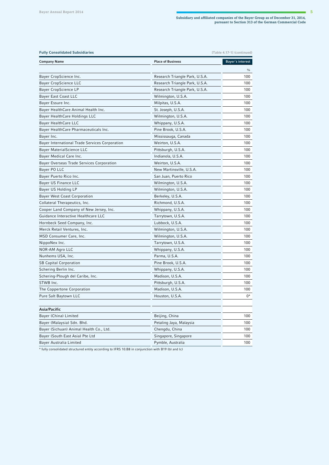| <b>Fully Consolidated Subsidiaries</b><br>[Table 4.17-1] (continued)                               |                                |                  |
|----------------------------------------------------------------------------------------------------|--------------------------------|------------------|
| <b>Company Name</b>                                                                                | <b>Place of Business</b>       | Bayer's interest |
|                                                                                                    |                                | $\frac{0}{0}$    |
| Bayer CropScience Inc.                                                                             | Research Triangle Park, U.S.A. | 100              |
| <b>Bayer CropScience LLC</b>                                                                       | Research Triangle Park, U.S.A. | 100              |
| Bayer CropScience LP                                                                               | Research Triangle Park, U.S.A. | 100              |
| Bayer East Coast LLC                                                                               | Wilmington, U.S.A.             | 100              |
| Bayer Essure Inc.                                                                                  | Milpitas, U.S.A.               | 100              |
| Bayer HealthCare Animal Health Inc.                                                                | St. Joseph, U.S.A.             | 100              |
| Bayer HealthCare Holdings LLC                                                                      | Wilmington, U.S.A.             | 100              |
| Bayer HealthCare LLC                                                                               | Whippany, U.S.A.               | 100              |
| Bayer HealthCare Pharmaceuticals Inc.                                                              | Pine Brook, U.S.A.             | 100              |
| Bayer Inc.                                                                                         | Mississauga, Canada            | 100              |
| Bayer International Trade Services Corporation                                                     | Weirton, U.S.A.                | 100              |
| Bayer MaterialScience LLC                                                                          | Pittsburgh, U.S.A.             | 100              |
| Bayer Medical Care Inc.                                                                            | Indianola, U.S.A.              | 100              |
| Bayer Overseas Trade Services Corporation                                                          | Weirton, U.S.A.                | 100              |
| Bayer PO LLC                                                                                       | New Martinsville, U.S.A.       | 100              |
| Bayer Puerto Rico Inc.                                                                             | San Juan, Puerto Rico          | 100              |
| Bayer US Finance LLC                                                                               | Wilmington, U.S.A.             | 100              |
| Bayer US Holding LP                                                                                | Wilmington, U.S.A.             | 100              |
| Bayer West Coast Corporation                                                                       | Berkeley, U.S.A.               | 100              |
| Collateral Therapeutics, Inc.                                                                      | Richmond, U.S.A.               | 100              |
| Cooper Land Company of New Jersey, Inc.                                                            | Whippany, U.S.A.               | 100              |
| Guidance Interactive Healthcare LLC                                                                | Tarrytown, U.S.A.              | 100              |
| Hornbeck Seed Company, Inc.                                                                        | Lubbock, U.S.A.                | 100              |
| Merck Retail Ventures, Inc.                                                                        | Wilmington, U.S.A.             | 100              |
| MSD Consumer Care, Inc.                                                                            | Wilmington, U.S.A.             | 100              |
| NippoNex Inc.                                                                                      | Tarrytown, U.S.A.              | 100              |
| NOR-AM Agro LLC                                                                                    | Whippany, U.S.A.               | 100              |
| Nunhems USA, Inc.                                                                                  | Parma, U.S.A.                  | 100              |
| <b>SB Capital Corporation</b>                                                                      | Pine Brook, U.S.A.             | 100              |
| Schering Berlin Inc.                                                                               | Whippany, U.S.A.               | 100              |
| Schering-Plough del Caribe, Inc.                                                                   | Madison, U.S.A.                | 100              |
| STWB Inc.                                                                                          | Pittsburgh, U.S.A.             | 100              |
| The Coppertone Corporation                                                                         | Madison, U.S.A.                | 100              |
| Pure Salt Baytown LLC                                                                              | Houston, U.S.A.                | 0*               |
| Asia/Pacific                                                                                       |                                |                  |
| Bayer (China) Limited                                                                              | Beijing, China                 | 100              |
| Bayer (Malaysia) Sdn. Bhd.                                                                         | Petaling Jaya, Malaysia        | 100              |
| Bayer (Sichuan) Animal Health Co., Ltd.                                                            | Chengdu, China                 | 100              |
| Bayer (South East Asia) Pte Ltd                                                                    | Singapore, Singapore           | 100              |
| Bayer Australia Limited                                                                            | Pymble, Australia              | 100              |
| * fully consolidated structured entity according to IFRS 10.B8 in conjunction with B19 (b) and (c) |                                |                  |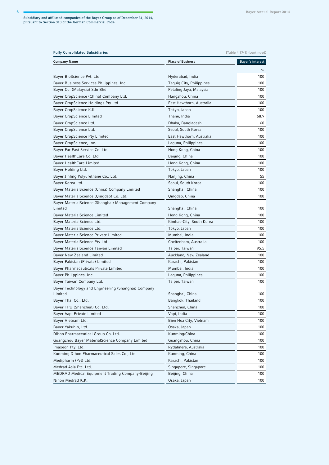| <b>Fully Consolidated Subsidiaries</b><br>[Table 4.17-1] (continued) |                          |                  |
|----------------------------------------------------------------------|--------------------------|------------------|
| <b>Company Name</b>                                                  | <b>Place of Business</b> | Bayer's interest |
|                                                                      |                          | $\frac{0}{0}$    |
| Bayer BioScience Pvt. Ltd                                            | Hyderabad, India         | 100              |
| Bayer Business Services Philippines, Inc.                            | Taguig City, Philippines | 100              |
| Bayer Co. (Malaysia) Sdn Bhd                                         | Petaling Jaya, Malaysia  | 100              |
| Bayer CropScience (China) Company Ltd.                               | Hangzhou, China          | 100              |
| Bayer CropScience Holdings Pty Ltd                                   | East Hawthorn, Australia | 100              |
| Bayer CropScience K.K.                                               | Tokyo, Japan             | 100              |
| Bayer CropScience Limited                                            | Thane, India             | 68.9             |
| Bayer CropScience Ltd.                                               | Dhaka, Bangladesh        | 60               |
| Bayer CropScience Ltd.                                               | Seoul, South Korea       | 100              |
| Bayer CropScience Pty Limited                                        | East Hawthorn, Australia | 100              |
| Bayer CropScience, Inc.                                              | Laguna, Philippines      | 100              |
| Bayer Far East Service Co. Ltd.                                      | Hong Kong, China         | 100              |
| Bayer HealthCare Co. Ltd.                                            | Beijing, China           | 100              |
| Bayer HealthCare Limited                                             | Hong Kong, China         | 100              |
| Bayer Holding Ltd.                                                   | Tokyo, Japan             | 100              |
| Bayer Jinling Polyurethane Co., Ltd.                                 | Nanjing, China           | 55               |
| Bayer Korea Ltd.                                                     | Seoul, South Korea       | 100              |
| Bayer MaterialScience (China) Company Limited                        | Shanghai, China          | 100              |
| Bayer MaterialScience (Qingdao) Co. Ltd.                             | Qingdao, China           | 100              |
| Bayer MaterialScience (Shanghai) Management Company                  |                          |                  |
| Limited                                                              | Shanghai, China          | 100              |
| Bayer MaterialScience Limited                                        | Hong Kong, China         | 100              |
| Bayer MaterialScience Ltd.                                           | Kimhae-City, South Korea | 100              |
| Bayer MaterialScience Ltd.                                           | Tokyo, Japan             | 100              |
| Bayer MaterialScience Private Limited                                | Mumbai, India            | 100              |
| Bayer MaterialScience Pty Ltd                                        | Cheltenham, Australia    | 100              |
| Bayer MaterialScience Taiwan Limited                                 | Taipei, Taiwan           | 95.5             |
| Bayer New Zealand Limited                                            | Auckland, New Zealand    | 100              |
| Bayer Pakistan (Private) Limited                                     | Karachi, Pakistan        | 100              |
| Bayer Pharmaceuticals Private Limited                                | Mumbai, India            | 100              |
| Bayer Philippines, Inc.                                              | Laguna, Philippines      | 100              |
| Bayer Taiwan Company Ltd.                                            | Taipei, Taiwan           | 100              |
| Bayer Technology and Engineering (Shanghai) Company                  |                          |                  |
| Limited                                                              | Shanghai, China          | 100              |
| Bayer Thai Co., Ltd.                                                 | Bangkok, Thailand        | 100              |
| Bayer TPU (Shenzhen) Co. Ltd.                                        | Shenzhen, China          | 100              |
| Bayer Vapi Private Limited                                           | Vapi, India              | 100              |
| Bayer Vietnam Ltd.                                                   | Bien Hoa City, Vietnam   | 100              |
| Bayer Yakuhin, Ltd.                                                  | Osaka, Japan             | 100              |
| Dihon Pharmaceutical Group Co. Ltd.                                  | Kunming/China            | 100              |
| Guangzhou Bayer MaterialScience Company Limited                      | Guangzhou, China         | 100              |
| Imaxeon Pty. Ltd.                                                    | Rydalmere, Australia     | 100              |
| Kunming Dihon Pharmaceutical Sales Co., Ltd.                         | Kunming, China           | 100              |
| Medipharm (Pvt) Ltd.                                                 | Karachi, Pakistan        | 100              |
| Medrad Asia Pte. Ltd.                                                | Singapore, Singapore     | 100              |
| <b>MEDRAD Medical Equipment Trading Company-Beijing</b>              | Beijing, China           | 100              |
| Nihon Medrad K.K.                                                    | Osaka, Japan             | 100              |
|                                                                      |                          |                  |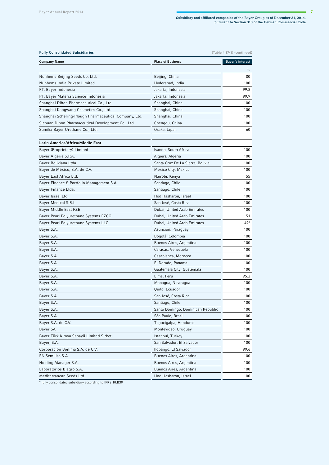| Bayer's interest<br><b>Company Name</b><br><b>Place of Business</b><br>$\frac{0}{0}$<br>Nunhems Beijing Seeds Co. Ltd.<br>Beijing, China<br>80<br>100<br>Nunhems India Private Limited<br>Hyderabad, India<br>99.8<br>PT. Bayer Indonesia<br>Jakarta, Indonesia<br>99.9<br>PT. Bayer MaterialScience Indonesia<br>Jakarta, Indonesia<br>Shanghai Dihon Pharmaceutical Co., Ltd.<br>Shanghai, China<br>100<br>Shanghai Kangwang Cosmetics Co., Ltd.<br>Shanghai, China<br>100<br>Shanghai Schering-Plough Pharmaceutical Company, Ltd.<br>Shanghai, China<br>100<br>Sichuan Dihon Pharmaceutical Development Co., Ltd.<br>Chengdu, China<br>100<br>Sumika Bayer Urethane Co., Ltd.<br>60<br>Osaka, Japan<br>Latin America/Africa/Middle East<br>Bayer (Proprietary) Limited<br>Isando, South Africa<br>100<br>Bayer Algerie S.P.A.<br>100<br>Algiers, Algeria<br>Bayer Boliviana Ltda<br>Santa Cruz De La Sierra, Bolivia<br>100<br>Bayer de México, S.A. de C.V.<br>Mexico City, Mexico<br>100<br>Bayer East Africa Ltd.<br>Nairobi, Kenya<br>55<br>Bayer Finance & Portfolio Management S.A.<br>Santiago, Chile<br>100<br>Bayer Finance Ltda.<br>Santiago, Chile<br>100<br>Hod Hasharon, Israel<br>100<br>Bayer Israel Ltd.<br>Bayer Medical S.R.L.<br>San José, Costa Rica<br>100<br>Bayer Middle East FZE<br>Dubai, United Arab Emirates<br>100<br>Bayer Pearl Polyurethane Systems FZCO<br>51<br>Dubai, United Arab Emirates<br>49*<br>Bayer Pearl Polyurethane Systems LLC<br>Dubai, United Arab Emirates<br>100<br>Bayer S.A.<br>Asunción, Paraguay<br>Bayer S.A.<br>100<br>Bogotá, Colombia<br>Bayer S.A.<br>Buenos Aires, Argentina<br>100<br>Bayer S.A.<br>Caracas, Venezuela<br>100<br>Bayer S.A.<br>Casablanca, Morocco<br>100<br>Bayer S.A.<br>El Dorado, Panama<br>100<br>Bayer S.A.<br>Guatemala City, Guatemala<br>100<br>95.2<br>Bayer S.A.<br>Lima, Peru<br>Bayer S.A.<br>Managua, Nicaragua<br>100<br>Bayer S.A.<br>Quito, Ecuador<br>100<br>Bayer S.A.<br>San José, Costa Rica<br>100<br>Santiago, Chile<br>Bayer S.A.<br>100<br>Bayer S.A.<br>Santo Domingo, Dominican Republic<br>100<br>Bayer S.A.<br>São Paulo, Brazil<br>100<br>Bayer S.A. de C.V.<br>Tegucigalpa, Honduras<br>100<br>Bayer SA<br>Montevideo, Uruguay<br>100<br>Bayer Türk Kimya Sanayii Limited Sirketi<br>Istanbul, Turkey<br>100<br>Bayer, S.A.<br>San Salvador, El Salvador<br>100<br>Corporación Bonima S.A. de C.V.<br>Ilopango, El Salvador<br>99.6<br>FN Semillas S.A.<br>Buenos Aires, Argentina<br>100<br>Buenos Aires, Argentina<br>Holding Manager S.A.<br>100<br>Laboratorios Biagro S.A.<br>Buenos Aires, Argentina<br>100<br>Mediterranean Seeds Ltd.<br>Hod Hasharon, Israel<br>100 | <b>Fully Consolidated Subsidiaries</b><br>[Table 4.17-1] (continued) |  |  |
|---------------------------------------------------------------------------------------------------------------------------------------------------------------------------------------------------------------------------------------------------------------------------------------------------------------------------------------------------------------------------------------------------------------------------------------------------------------------------------------------------------------------------------------------------------------------------------------------------------------------------------------------------------------------------------------------------------------------------------------------------------------------------------------------------------------------------------------------------------------------------------------------------------------------------------------------------------------------------------------------------------------------------------------------------------------------------------------------------------------------------------------------------------------------------------------------------------------------------------------------------------------------------------------------------------------------------------------------------------------------------------------------------------------------------------------------------------------------------------------------------------------------------------------------------------------------------------------------------------------------------------------------------------------------------------------------------------------------------------------------------------------------------------------------------------------------------------------------------------------------------------------------------------------------------------------------------------------------------------------------------------------------------------------------------------------------------------------------------------------------------------------------------------------------------------------------------------------------------------------------------------------------------------------------------------------------------------------------------------------------------------------------------------------------------------------------------------------------------------------------------------------------------------------------------------------------------------------------------------------------------------------------------------------------------------------------|----------------------------------------------------------------------|--|--|
|                                                                                                                                                                                                                                                                                                                                                                                                                                                                                                                                                                                                                                                                                                                                                                                                                                                                                                                                                                                                                                                                                                                                                                                                                                                                                                                                                                                                                                                                                                                                                                                                                                                                                                                                                                                                                                                                                                                                                                                                                                                                                                                                                                                                                                                                                                                                                                                                                                                                                                                                                                                                                                                                                             |                                                                      |  |  |
|                                                                                                                                                                                                                                                                                                                                                                                                                                                                                                                                                                                                                                                                                                                                                                                                                                                                                                                                                                                                                                                                                                                                                                                                                                                                                                                                                                                                                                                                                                                                                                                                                                                                                                                                                                                                                                                                                                                                                                                                                                                                                                                                                                                                                                                                                                                                                                                                                                                                                                                                                                                                                                                                                             |                                                                      |  |  |
|                                                                                                                                                                                                                                                                                                                                                                                                                                                                                                                                                                                                                                                                                                                                                                                                                                                                                                                                                                                                                                                                                                                                                                                                                                                                                                                                                                                                                                                                                                                                                                                                                                                                                                                                                                                                                                                                                                                                                                                                                                                                                                                                                                                                                                                                                                                                                                                                                                                                                                                                                                                                                                                                                             |                                                                      |  |  |
|                                                                                                                                                                                                                                                                                                                                                                                                                                                                                                                                                                                                                                                                                                                                                                                                                                                                                                                                                                                                                                                                                                                                                                                                                                                                                                                                                                                                                                                                                                                                                                                                                                                                                                                                                                                                                                                                                                                                                                                                                                                                                                                                                                                                                                                                                                                                                                                                                                                                                                                                                                                                                                                                                             |                                                                      |  |  |
|                                                                                                                                                                                                                                                                                                                                                                                                                                                                                                                                                                                                                                                                                                                                                                                                                                                                                                                                                                                                                                                                                                                                                                                                                                                                                                                                                                                                                                                                                                                                                                                                                                                                                                                                                                                                                                                                                                                                                                                                                                                                                                                                                                                                                                                                                                                                                                                                                                                                                                                                                                                                                                                                                             |                                                                      |  |  |
|                                                                                                                                                                                                                                                                                                                                                                                                                                                                                                                                                                                                                                                                                                                                                                                                                                                                                                                                                                                                                                                                                                                                                                                                                                                                                                                                                                                                                                                                                                                                                                                                                                                                                                                                                                                                                                                                                                                                                                                                                                                                                                                                                                                                                                                                                                                                                                                                                                                                                                                                                                                                                                                                                             |                                                                      |  |  |
|                                                                                                                                                                                                                                                                                                                                                                                                                                                                                                                                                                                                                                                                                                                                                                                                                                                                                                                                                                                                                                                                                                                                                                                                                                                                                                                                                                                                                                                                                                                                                                                                                                                                                                                                                                                                                                                                                                                                                                                                                                                                                                                                                                                                                                                                                                                                                                                                                                                                                                                                                                                                                                                                                             |                                                                      |  |  |
|                                                                                                                                                                                                                                                                                                                                                                                                                                                                                                                                                                                                                                                                                                                                                                                                                                                                                                                                                                                                                                                                                                                                                                                                                                                                                                                                                                                                                                                                                                                                                                                                                                                                                                                                                                                                                                                                                                                                                                                                                                                                                                                                                                                                                                                                                                                                                                                                                                                                                                                                                                                                                                                                                             |                                                                      |  |  |
|                                                                                                                                                                                                                                                                                                                                                                                                                                                                                                                                                                                                                                                                                                                                                                                                                                                                                                                                                                                                                                                                                                                                                                                                                                                                                                                                                                                                                                                                                                                                                                                                                                                                                                                                                                                                                                                                                                                                                                                                                                                                                                                                                                                                                                                                                                                                                                                                                                                                                                                                                                                                                                                                                             |                                                                      |  |  |
|                                                                                                                                                                                                                                                                                                                                                                                                                                                                                                                                                                                                                                                                                                                                                                                                                                                                                                                                                                                                                                                                                                                                                                                                                                                                                                                                                                                                                                                                                                                                                                                                                                                                                                                                                                                                                                                                                                                                                                                                                                                                                                                                                                                                                                                                                                                                                                                                                                                                                                                                                                                                                                                                                             |                                                                      |  |  |
|                                                                                                                                                                                                                                                                                                                                                                                                                                                                                                                                                                                                                                                                                                                                                                                                                                                                                                                                                                                                                                                                                                                                                                                                                                                                                                                                                                                                                                                                                                                                                                                                                                                                                                                                                                                                                                                                                                                                                                                                                                                                                                                                                                                                                                                                                                                                                                                                                                                                                                                                                                                                                                                                                             |                                                                      |  |  |
|                                                                                                                                                                                                                                                                                                                                                                                                                                                                                                                                                                                                                                                                                                                                                                                                                                                                                                                                                                                                                                                                                                                                                                                                                                                                                                                                                                                                                                                                                                                                                                                                                                                                                                                                                                                                                                                                                                                                                                                                                                                                                                                                                                                                                                                                                                                                                                                                                                                                                                                                                                                                                                                                                             |                                                                      |  |  |
|                                                                                                                                                                                                                                                                                                                                                                                                                                                                                                                                                                                                                                                                                                                                                                                                                                                                                                                                                                                                                                                                                                                                                                                                                                                                                                                                                                                                                                                                                                                                                                                                                                                                                                                                                                                                                                                                                                                                                                                                                                                                                                                                                                                                                                                                                                                                                                                                                                                                                                                                                                                                                                                                                             |                                                                      |  |  |
|                                                                                                                                                                                                                                                                                                                                                                                                                                                                                                                                                                                                                                                                                                                                                                                                                                                                                                                                                                                                                                                                                                                                                                                                                                                                                                                                                                                                                                                                                                                                                                                                                                                                                                                                                                                                                                                                                                                                                                                                                                                                                                                                                                                                                                                                                                                                                                                                                                                                                                                                                                                                                                                                                             |                                                                      |  |  |
|                                                                                                                                                                                                                                                                                                                                                                                                                                                                                                                                                                                                                                                                                                                                                                                                                                                                                                                                                                                                                                                                                                                                                                                                                                                                                                                                                                                                                                                                                                                                                                                                                                                                                                                                                                                                                                                                                                                                                                                                                                                                                                                                                                                                                                                                                                                                                                                                                                                                                                                                                                                                                                                                                             |                                                                      |  |  |
|                                                                                                                                                                                                                                                                                                                                                                                                                                                                                                                                                                                                                                                                                                                                                                                                                                                                                                                                                                                                                                                                                                                                                                                                                                                                                                                                                                                                                                                                                                                                                                                                                                                                                                                                                                                                                                                                                                                                                                                                                                                                                                                                                                                                                                                                                                                                                                                                                                                                                                                                                                                                                                                                                             |                                                                      |  |  |
|                                                                                                                                                                                                                                                                                                                                                                                                                                                                                                                                                                                                                                                                                                                                                                                                                                                                                                                                                                                                                                                                                                                                                                                                                                                                                                                                                                                                                                                                                                                                                                                                                                                                                                                                                                                                                                                                                                                                                                                                                                                                                                                                                                                                                                                                                                                                                                                                                                                                                                                                                                                                                                                                                             |                                                                      |  |  |
|                                                                                                                                                                                                                                                                                                                                                                                                                                                                                                                                                                                                                                                                                                                                                                                                                                                                                                                                                                                                                                                                                                                                                                                                                                                                                                                                                                                                                                                                                                                                                                                                                                                                                                                                                                                                                                                                                                                                                                                                                                                                                                                                                                                                                                                                                                                                                                                                                                                                                                                                                                                                                                                                                             |                                                                      |  |  |
|                                                                                                                                                                                                                                                                                                                                                                                                                                                                                                                                                                                                                                                                                                                                                                                                                                                                                                                                                                                                                                                                                                                                                                                                                                                                                                                                                                                                                                                                                                                                                                                                                                                                                                                                                                                                                                                                                                                                                                                                                                                                                                                                                                                                                                                                                                                                                                                                                                                                                                                                                                                                                                                                                             |                                                                      |  |  |
|                                                                                                                                                                                                                                                                                                                                                                                                                                                                                                                                                                                                                                                                                                                                                                                                                                                                                                                                                                                                                                                                                                                                                                                                                                                                                                                                                                                                                                                                                                                                                                                                                                                                                                                                                                                                                                                                                                                                                                                                                                                                                                                                                                                                                                                                                                                                                                                                                                                                                                                                                                                                                                                                                             |                                                                      |  |  |
|                                                                                                                                                                                                                                                                                                                                                                                                                                                                                                                                                                                                                                                                                                                                                                                                                                                                                                                                                                                                                                                                                                                                                                                                                                                                                                                                                                                                                                                                                                                                                                                                                                                                                                                                                                                                                                                                                                                                                                                                                                                                                                                                                                                                                                                                                                                                                                                                                                                                                                                                                                                                                                                                                             |                                                                      |  |  |
|                                                                                                                                                                                                                                                                                                                                                                                                                                                                                                                                                                                                                                                                                                                                                                                                                                                                                                                                                                                                                                                                                                                                                                                                                                                                                                                                                                                                                                                                                                                                                                                                                                                                                                                                                                                                                                                                                                                                                                                                                                                                                                                                                                                                                                                                                                                                                                                                                                                                                                                                                                                                                                                                                             |                                                                      |  |  |
|                                                                                                                                                                                                                                                                                                                                                                                                                                                                                                                                                                                                                                                                                                                                                                                                                                                                                                                                                                                                                                                                                                                                                                                                                                                                                                                                                                                                                                                                                                                                                                                                                                                                                                                                                                                                                                                                                                                                                                                                                                                                                                                                                                                                                                                                                                                                                                                                                                                                                                                                                                                                                                                                                             |                                                                      |  |  |
|                                                                                                                                                                                                                                                                                                                                                                                                                                                                                                                                                                                                                                                                                                                                                                                                                                                                                                                                                                                                                                                                                                                                                                                                                                                                                                                                                                                                                                                                                                                                                                                                                                                                                                                                                                                                                                                                                                                                                                                                                                                                                                                                                                                                                                                                                                                                                                                                                                                                                                                                                                                                                                                                                             |                                                                      |  |  |
|                                                                                                                                                                                                                                                                                                                                                                                                                                                                                                                                                                                                                                                                                                                                                                                                                                                                                                                                                                                                                                                                                                                                                                                                                                                                                                                                                                                                                                                                                                                                                                                                                                                                                                                                                                                                                                                                                                                                                                                                                                                                                                                                                                                                                                                                                                                                                                                                                                                                                                                                                                                                                                                                                             |                                                                      |  |  |
|                                                                                                                                                                                                                                                                                                                                                                                                                                                                                                                                                                                                                                                                                                                                                                                                                                                                                                                                                                                                                                                                                                                                                                                                                                                                                                                                                                                                                                                                                                                                                                                                                                                                                                                                                                                                                                                                                                                                                                                                                                                                                                                                                                                                                                                                                                                                                                                                                                                                                                                                                                                                                                                                                             |                                                                      |  |  |
|                                                                                                                                                                                                                                                                                                                                                                                                                                                                                                                                                                                                                                                                                                                                                                                                                                                                                                                                                                                                                                                                                                                                                                                                                                                                                                                                                                                                                                                                                                                                                                                                                                                                                                                                                                                                                                                                                                                                                                                                                                                                                                                                                                                                                                                                                                                                                                                                                                                                                                                                                                                                                                                                                             |                                                                      |  |  |
|                                                                                                                                                                                                                                                                                                                                                                                                                                                                                                                                                                                                                                                                                                                                                                                                                                                                                                                                                                                                                                                                                                                                                                                                                                                                                                                                                                                                                                                                                                                                                                                                                                                                                                                                                                                                                                                                                                                                                                                                                                                                                                                                                                                                                                                                                                                                                                                                                                                                                                                                                                                                                                                                                             |                                                                      |  |  |
|                                                                                                                                                                                                                                                                                                                                                                                                                                                                                                                                                                                                                                                                                                                                                                                                                                                                                                                                                                                                                                                                                                                                                                                                                                                                                                                                                                                                                                                                                                                                                                                                                                                                                                                                                                                                                                                                                                                                                                                                                                                                                                                                                                                                                                                                                                                                                                                                                                                                                                                                                                                                                                                                                             |                                                                      |  |  |
|                                                                                                                                                                                                                                                                                                                                                                                                                                                                                                                                                                                                                                                                                                                                                                                                                                                                                                                                                                                                                                                                                                                                                                                                                                                                                                                                                                                                                                                                                                                                                                                                                                                                                                                                                                                                                                                                                                                                                                                                                                                                                                                                                                                                                                                                                                                                                                                                                                                                                                                                                                                                                                                                                             |                                                                      |  |  |
|                                                                                                                                                                                                                                                                                                                                                                                                                                                                                                                                                                                                                                                                                                                                                                                                                                                                                                                                                                                                                                                                                                                                                                                                                                                                                                                                                                                                                                                                                                                                                                                                                                                                                                                                                                                                                                                                                                                                                                                                                                                                                                                                                                                                                                                                                                                                                                                                                                                                                                                                                                                                                                                                                             |                                                                      |  |  |
|                                                                                                                                                                                                                                                                                                                                                                                                                                                                                                                                                                                                                                                                                                                                                                                                                                                                                                                                                                                                                                                                                                                                                                                                                                                                                                                                                                                                                                                                                                                                                                                                                                                                                                                                                                                                                                                                                                                                                                                                                                                                                                                                                                                                                                                                                                                                                                                                                                                                                                                                                                                                                                                                                             |                                                                      |  |  |
|                                                                                                                                                                                                                                                                                                                                                                                                                                                                                                                                                                                                                                                                                                                                                                                                                                                                                                                                                                                                                                                                                                                                                                                                                                                                                                                                                                                                                                                                                                                                                                                                                                                                                                                                                                                                                                                                                                                                                                                                                                                                                                                                                                                                                                                                                                                                                                                                                                                                                                                                                                                                                                                                                             |                                                                      |  |  |
|                                                                                                                                                                                                                                                                                                                                                                                                                                                                                                                                                                                                                                                                                                                                                                                                                                                                                                                                                                                                                                                                                                                                                                                                                                                                                                                                                                                                                                                                                                                                                                                                                                                                                                                                                                                                                                                                                                                                                                                                                                                                                                                                                                                                                                                                                                                                                                                                                                                                                                                                                                                                                                                                                             |                                                                      |  |  |
|                                                                                                                                                                                                                                                                                                                                                                                                                                                                                                                                                                                                                                                                                                                                                                                                                                                                                                                                                                                                                                                                                                                                                                                                                                                                                                                                                                                                                                                                                                                                                                                                                                                                                                                                                                                                                                                                                                                                                                                                                                                                                                                                                                                                                                                                                                                                                                                                                                                                                                                                                                                                                                                                                             |                                                                      |  |  |
|                                                                                                                                                                                                                                                                                                                                                                                                                                                                                                                                                                                                                                                                                                                                                                                                                                                                                                                                                                                                                                                                                                                                                                                                                                                                                                                                                                                                                                                                                                                                                                                                                                                                                                                                                                                                                                                                                                                                                                                                                                                                                                                                                                                                                                                                                                                                                                                                                                                                                                                                                                                                                                                                                             |                                                                      |  |  |
|                                                                                                                                                                                                                                                                                                                                                                                                                                                                                                                                                                                                                                                                                                                                                                                                                                                                                                                                                                                                                                                                                                                                                                                                                                                                                                                                                                                                                                                                                                                                                                                                                                                                                                                                                                                                                                                                                                                                                                                                                                                                                                                                                                                                                                                                                                                                                                                                                                                                                                                                                                                                                                                                                             |                                                                      |  |  |
|                                                                                                                                                                                                                                                                                                                                                                                                                                                                                                                                                                                                                                                                                                                                                                                                                                                                                                                                                                                                                                                                                                                                                                                                                                                                                                                                                                                                                                                                                                                                                                                                                                                                                                                                                                                                                                                                                                                                                                                                                                                                                                                                                                                                                                                                                                                                                                                                                                                                                                                                                                                                                                                                                             |                                                                      |  |  |
|                                                                                                                                                                                                                                                                                                                                                                                                                                                                                                                                                                                                                                                                                                                                                                                                                                                                                                                                                                                                                                                                                                                                                                                                                                                                                                                                                                                                                                                                                                                                                                                                                                                                                                                                                                                                                                                                                                                                                                                                                                                                                                                                                                                                                                                                                                                                                                                                                                                                                                                                                                                                                                                                                             |                                                                      |  |  |
|                                                                                                                                                                                                                                                                                                                                                                                                                                                                                                                                                                                                                                                                                                                                                                                                                                                                                                                                                                                                                                                                                                                                                                                                                                                                                                                                                                                                                                                                                                                                                                                                                                                                                                                                                                                                                                                                                                                                                                                                                                                                                                                                                                                                                                                                                                                                                                                                                                                                                                                                                                                                                                                                                             |                                                                      |  |  |
|                                                                                                                                                                                                                                                                                                                                                                                                                                                                                                                                                                                                                                                                                                                                                                                                                                                                                                                                                                                                                                                                                                                                                                                                                                                                                                                                                                                                                                                                                                                                                                                                                                                                                                                                                                                                                                                                                                                                                                                                                                                                                                                                                                                                                                                                                                                                                                                                                                                                                                                                                                                                                                                                                             |                                                                      |  |  |
|                                                                                                                                                                                                                                                                                                                                                                                                                                                                                                                                                                                                                                                                                                                                                                                                                                                                                                                                                                                                                                                                                                                                                                                                                                                                                                                                                                                                                                                                                                                                                                                                                                                                                                                                                                                                                                                                                                                                                                                                                                                                                                                                                                                                                                                                                                                                                                                                                                                                                                                                                                                                                                                                                             |                                                                      |  |  |
|                                                                                                                                                                                                                                                                                                                                                                                                                                                                                                                                                                                                                                                                                                                                                                                                                                                                                                                                                                                                                                                                                                                                                                                                                                                                                                                                                                                                                                                                                                                                                                                                                                                                                                                                                                                                                                                                                                                                                                                                                                                                                                                                                                                                                                                                                                                                                                                                                                                                                                                                                                                                                                                                                             |                                                                      |  |  |
|                                                                                                                                                                                                                                                                                                                                                                                                                                                                                                                                                                                                                                                                                                                                                                                                                                                                                                                                                                                                                                                                                                                                                                                                                                                                                                                                                                                                                                                                                                                                                                                                                                                                                                                                                                                                                                                                                                                                                                                                                                                                                                                                                                                                                                                                                                                                                                                                                                                                                                                                                                                                                                                                                             |                                                                      |  |  |
|                                                                                                                                                                                                                                                                                                                                                                                                                                                                                                                                                                                                                                                                                                                                                                                                                                                                                                                                                                                                                                                                                                                                                                                                                                                                                                                                                                                                                                                                                                                                                                                                                                                                                                                                                                                                                                                                                                                                                                                                                                                                                                                                                                                                                                                                                                                                                                                                                                                                                                                                                                                                                                                                                             |                                                                      |  |  |
|                                                                                                                                                                                                                                                                                                                                                                                                                                                                                                                                                                                                                                                                                                                                                                                                                                                                                                                                                                                                                                                                                                                                                                                                                                                                                                                                                                                                                                                                                                                                                                                                                                                                                                                                                                                                                                                                                                                                                                                                                                                                                                                                                                                                                                                                                                                                                                                                                                                                                                                                                                                                                                                                                             |                                                                      |  |  |
|                                                                                                                                                                                                                                                                                                                                                                                                                                                                                                                                                                                                                                                                                                                                                                                                                                                                                                                                                                                                                                                                                                                                                                                                                                                                                                                                                                                                                                                                                                                                                                                                                                                                                                                                                                                                                                                                                                                                                                                                                                                                                                                                                                                                                                                                                                                                                                                                                                                                                                                                                                                                                                                                                             |                                                                      |  |  |

\* fully consolidated subsidiary according to IFRS 10.B39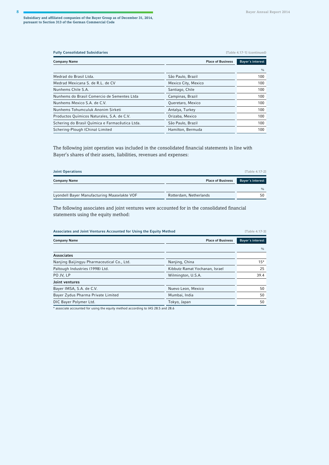| <b>Fully Consolidated Subsidiaries</b>          |                          | [Table 4.17-1] (continued) |  |
|-------------------------------------------------|--------------------------|----------------------------|--|
| <b>Company Name</b>                             | <b>Place of Business</b> | Bayer's interest           |  |
|                                                 |                          | 0/0                        |  |
| Medrad do Brasil Ltda.                          | São Paulo, Brazil        | 100                        |  |
| Medrad Mexicana S. de R.L. de CV                | Mexico City, Mexico      | 100                        |  |
| Nunhems Chile S.A.                              | Santiago, Chile          | 100                        |  |
| Nunhems do Brasil Comercio de Sementes Ltda     | Campinas, Brazil         | 100                        |  |
| Nunhems Mexico S.A. de C.V.                     | Queretaro, Mexico        | 100                        |  |
| Nunhems Tohumculuk Anonim Sirketi               | Antalya, Turkey          | 100                        |  |
| Productos Químicos Naturales, S.A. de C.V.      | Orizaba, Mexico          | 100                        |  |
| Schering do Brasil Química e Farmacêutica Ltda. | São Paulo, Brazil        | 100                        |  |
| Schering-Plough (China) Limited                 | Hamilton, Bermuda        | 100                        |  |

The following joint operation was included in the consolidated financial statements in line with Bayer's shares of their assets, liabilities, revenues and expenses:

| <b>Joint Operations</b>                     |                          | [Table 4.17-2]   |
|---------------------------------------------|--------------------------|------------------|
| <b>Company Name</b>                         | <b>Place of Business</b> | Bayer's interest |
|                                             |                          | 0/0              |
| Lyondell Bayer Manufacturing Maasylakte VOF | Rotterdam, Netherlands   | 50.              |

The following associates and joint ventures were accounted for in the consolidated financial statements using the equity method:

| Associates and Joint Ventures Accounted for Using the Equity Method |                                | [Table 4.17-3]   |
|---------------------------------------------------------------------|--------------------------------|------------------|
| <b>Company Name</b>                                                 | <b>Place of Business</b>       | Bayer's interest |
|                                                                     |                                | 0/0              |
| <b>Associates</b>                                                   |                                |                  |
| Nanjing Baijingyu Pharmaceutical Co., Ltd.                          | Nanjing, China                 | $15*$            |
| Paltough Industries (1998) Ltd.                                     | Kibbutz Ramat Yochanan, Israel | 25               |
| PO JV, LP                                                           | Wilmington, U.S.A.             | 39.4             |
| Joint ventures                                                      |                                |                  |
| Bayer IMSA, S.A. de C.V.                                            | Nuevo Leon, Mexico             | 50               |
| Bayer Zydus Pharma Private Limited                                  | Mumbai, India                  | 50               |
| DIC Bayer Polymer Ltd.                                              | Tokyo, Japan                   | 50               |
|                                                                     |                                |                  |

associate accounted for using the equity method according to IAS 28.5 and 28.6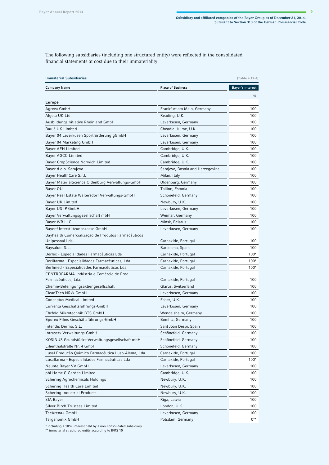The following subsidiaries (including one structured entity) were reflected in the consolidated financial statements at cost due to their immateriality:

| <b>Immaterial Subsidiaries</b><br>[Table 4.17-4]     |                                  |                  |
|------------------------------------------------------|----------------------------------|------------------|
| <b>Company Name</b>                                  | <b>Place of Business</b>         | Bayer's interest |
|                                                      |                                  | $\frac{0}{0}$    |
| <b>Europe</b>                                        |                                  |                  |
| Agreva GmbH                                          | Frankfurt am Main, Germany       | 100              |
| Algeta UK Ltd.                                       | Reading, U.K.                    | 100              |
| Ausbildungsinitiative Rheinland GmbH                 | Leverkusen, Germany              | 100              |
| Baulé UK Limited                                     | Cheadle Hulme, U.K.              | 100              |
| Bayer 04 Leverkusen Sportförderung gGmbH             | Leverkusen, Germany              | 100              |
| Bayer 04 Marketing GmbH                              | Leverkusen, Germany              | 100              |
| Bayer AEH Limited                                    | Cambridge, U.K.                  | 100              |
| Bayer AGCO Limited                                   | Cambridge, U.K.                  | 100              |
| Bayer CropScience Norwich Limited                    | Cambridge, U.K.                  | 100              |
| Bayer d.o.o. Sarajevo                                | Sarajevo, Bosnia and Herzegovina | 100              |
| Bayer HealthCare S.r.l.                              | Milan, Italy                     | 100              |
| Bayer MaterialScience Oldenburg Verwaltungs-GmbH     | Oldenburg, Germany               | 100              |
| Bayer OÜ                                             | Tallinn, Estonia                 | 100              |
| Bayer Real Estate Waltersdorf Verwaltungs-GmbH       | Schönefeld, Germany              | 100              |
| Bayer UK Limited                                     | Newbury, U.K.                    | 100              |
| Bayer US IP GmbH                                     | Leverkusen, Germany              | 100              |
| Bayer Verwaltungsgesellschaft mbH                    | Weimar, Germany                  | 100              |
| Bayer WR LLC                                         | Minsk, Belarus                   | 100              |
| Bayer-Unterstützungskasse GmbH                       | Leverkusen, Germany              | 100              |
| Bayhealth Comercialização de Produtos Farmacêuticos  |                                  |                  |
| Unipessoal Lda.                                      | Carnaxide, Portugal              | 100              |
| Baysalud, S.L.                                       | Barcelona, Spain                 | 100              |
| Berlex - Especialidades Farmacêuticas Lda            | Carnaxide, Portugal              | $100*$           |
| Berlifarma - Especialidades Farmacêuticas, Lda       | Carnaxide, Portugal              | $100*$           |
| Berlimed - Especialidades Farmacêuticas Lda          | Carnaxide, Portugal              | $100*$           |
| CENTROFARMA-Indústria e Comércio de Prod.            |                                  |                  |
| Farmacêuticos, Lda.                                  | Carnaxide, Portugal              | 100              |
| Chemie-Beteiligungsaktiengesellschaft                | Glarus, Switzerland              | 100              |
| CleanTech NRW GmbH                                   | Leverkusen, Germany              | 100              |
| Conceptus Medical Limited                            | Esher, U.K.                      | 100              |
| Currenta Geschäftsführungs-GmbH                      | Leverkusen, Germany              | 100              |
| Ehrfeld Mikrotechnik BTS GmbH                        | Wendelsheim, Germany             | 100              |
| Epurex Films Geschäftsführungs-GmbH                  | Bomlitz, Germany                 | 100              |
| Intendis Derma, S.L.                                 | Sant Joan Despi, Spain           | 100              |
| Intraserv Verwaltungs-GmbH                           | Schönefeld, Germany              | 100              |
| KOSINUS Grundstücks-Verwaltungsgesellschaft mbH      | Schönefeld, Germany              | 100              |
| Lilienthalstraße Nr. 4 GmbH                          | Schönefeld, Germany              | 100              |
| Lusal Producão Quimico Farmacêutica Luso-Alema, Lda. | Carnaxide, Portugal              | 100              |
| Lusalfarma - Especialidades Farmacêuticas Lda        | Carnaxide, Portugal              | $100*$           |
| Neunte Bayer VV GmbH                                 | Leverkusen, Germany              | 100              |
| pbi Home & Garden Limited                            | Cambridge, U.K.                  | 100              |
| Schering Agrochemicals Holdings                      | Newbury, U.K.                    | 100              |
| Schering Health Care Limited                         | Newbury, U.K.                    | 100              |
| Schering Industrial Products                         | Newbury, U.K.                    | 100              |
| SIA Bayer                                            | Riga, Latvia                     | 100              |
| Silver Birch Trustees Limited                        | London, U.K.                     | 100              |
| TecArena+ GmbH                                       | Leverkusen, Germany              | 100              |
| Targenomix GmbH                                      | Potsdam, Germany                 | $0***$           |

\* including a 10% interest held by a non-consolidated subsidiary \*\* immaterial structured entity according to IFRS 10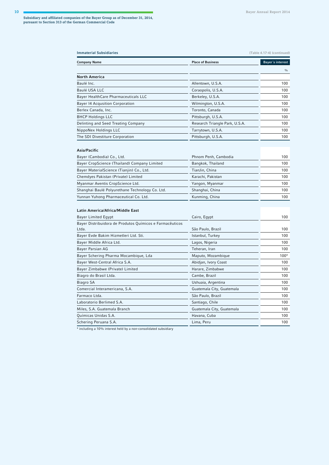| <b>Immaterial Subsidiaries</b><br>[Table 4.17-4] (continued) |                                |                  |
|--------------------------------------------------------------|--------------------------------|------------------|
| <b>Company Name</b>                                          | <b>Place of Business</b>       | Bayer's interest |
|                                                              |                                | $\frac{0}{0}$    |
| <b>North America</b>                                         |                                |                  |
| Baulé Inc.                                                   | Allentown, U.S.A.              | 100              |
| Baulé USA LLC                                                | Coraopolis, U.S.A.             | 100              |
| Bayer HealthCare Pharmaceuticals LLC                         | Berkeley, U.S.A.               | 100              |
| Bayer 14 Acqusition Corporation                              | Wilmington, U.S.A.             | 100              |
| Berlex Canada, Inc.                                          | Toronto, Canada                | 100              |
| <b>BHCP Holdings LLC</b>                                     | Pittsburgh, U.S.A.             | 100              |
| Delinting and Seed Treating Company                          | Research Triangle Park, U.S.A. | 100              |
| NippoNex Holdings LLC                                        | Tarrytown, U.S.A.              | 100              |
| The SDI Divestiture Corporation                              | Pittsburgh, U.S.A.             | 100              |
| Asia/Pacific                                                 |                                |                  |
| Bayer (Cambodia) Co., Ltd.                                   | Phnom Penh, Cambodia           | 100              |
| Bayer CropScience (Thailand) Company Limited                 | Bangkok, Thailand              | 100              |

| Bayer CropScience (Thailand) Company Limited    | Bangkok, Thailand | 100 |
|-------------------------------------------------|-------------------|-----|
| Bayer MaterialScience (Tianjin) Co., Ltd.       | TianJin, China    | 100 |
| Chemdyes Pakistan (Private) Limited             | Karachi, Pakistan | 100 |
| Myanmar Aventis CropScience Ltd.                | Yangon, Myanmar   | 100 |
| Shanghai Baulé Polyurethane Technology Co. Ltd. | Shanghai, China   | 100 |
| Yunnan Yuhong Pharmaceutical Co. Ltd.           | Kunming, China    | 100 |

## **Latin America/Africa/Middle East**

| Bayer Limited Egypt                                      | Cairo, Egypt              | 100    |
|----------------------------------------------------------|---------------------------|--------|
| Bayer Distribuidora de Produtos Químicos e Farmacêuticos |                           |        |
| Ltda.                                                    | São Paulo, Brazil         | 100    |
| Bayer Evde Bakim Hizmetleri Ltd. Sti.                    | Istanbul, Turkey          | 100    |
| Bayer Middle Africa Ltd.                                 | Lagos, Nigeria            | 100    |
| Bayer Parsian AG                                         | Teheran, Iran             | 100    |
| Bayer Schering Pharma Mocambique, Lda                    | Maputo, Mozambique        | $100*$ |
| Bayer West-Central Africa S.A.                           | Abidjan, Ivory Coast      | 100    |
| Bayer Zimbabwe (Private) Limited                         | Harare, Zimbabwe          | 100    |
| Biagro do Brasil Ltda.                                   | Cambe, Brazil             | 100    |
| Biagro SA                                                | Ushuaia, Argentina        | 100    |
| Comercial Interamericana, S.A.                           | Guatemala City, Guatemala | 100    |
| Farmaco Ltda.                                            | São Paulo, Brazil         | 100    |
| Laboratorio Berlimed S.A.                                | Santiago, Chile           | 100    |
| Miles, S.A. Guatemala Branch                             | Guatemala City, Guatemala | 100    |
| Químicas Unidas S.A.                                     | Havana, Cuba              | 100    |
| Schering Peruana S.A.                                    | Lima, Peru                | 100    |
|                                                          |                           |        |

\* including a 10% interest held by a non-consolidated subsidiary